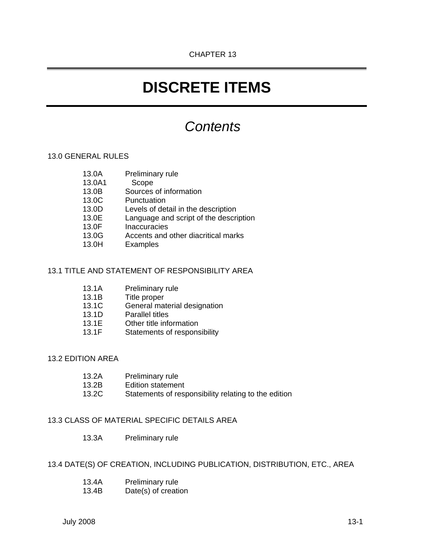# **DISCRETE ITEMS**

# *Contents*

# 13.0 GENERAL RULES

- 13.0A Preliminary rule
- 13.0A1 Scope
- 13.0B Sources of information
- 13.0C Punctuation
- 13.0D Levels of detail in the description
- 13.0E Language and script of the description
- 13.0F Inaccuracies
- 13.0G Accents and other diacritical marks
- 13.0H Examples

## 13.1 TITLE AND STATEMENT OF RESPONSIBILITY AREA

- 13.1A Preliminary rule
- 13.1B Title proper
- 13.1C General material designation
- 13.1D Parallel titles
- 13.1E Other title information
- 13.1F Statements of responsibility

# 13.2 EDITION AREA

- 13.2A Preliminary rule
- 13.2B Edition statement
- 13.2C Statements of responsibility relating to the edition

# 13.3 CLASS OF MATERIAL SPECIFIC DETAILS AREA

13.3A Preliminary rule

# 13.4 DATE(S) OF CREATION, INCLUDING PUBLICATION, DISTRIBUTION, ETC., AREA

- 13.4A Preliminary rule
- 13.4B Date(s) of creation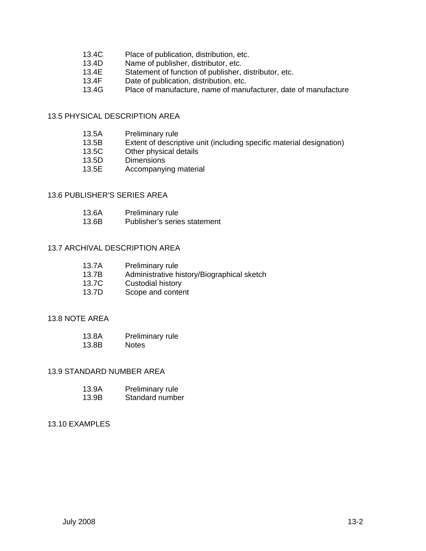- 13.4C Place of publication, distribution, etc.
- 13.4D Name of publisher, distributor, etc.
- 13.4E Statement of function of publisher, distributor, etc.<br>13.4F Date of publication, distribution, etc.
- Date of publication, distribution, etc.
- 13.4G Place of manufacture, name of manufacturer, date of manufacture

# 13.5 PHYSICAL DESCRIPTION AREA

| 13.5A | Preliminary rule |
|-------|------------------|
|-------|------------------|

- 13.5B Extent of descriptive unit (including specific material designation)
- 13.5C Other physical details
- 13.5D Dimensions
- 13.5E Accompanying material

# 13.6 PUBLISHER'S SERIES AREA

| 13.6A | Preliminary rule |
|-------|------------------|
|-------|------------------|

13.6B Publisher's series statement

#### 13.7 ARCHIVAL DESCRIPTION AREA

- 13.7B Administrative history/Biographical sketch
- 13.7C Custodial history
- 13.7D Scope and content

#### 13.8 NOTE AREA

| 13.8A | Preliminary rule |
|-------|------------------|
| 13.8B | <b>Notes</b>     |

#### 13.9 STANDARD NUMBER AREA

| 13.9A | Preliminary rule |
|-------|------------------|
| 13.9B | Standard number  |

#### 13.10 EXAMPLES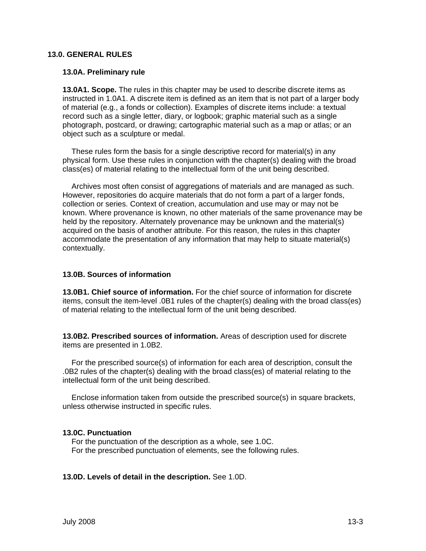#### **13.0. GENERAL RULES**

#### **13.0A. Preliminary rule**

**13.0A1. Scope.** The rules in this chapter may be used to describe discrete items as instructed in 1.0A1. A discrete item is defined as an item that is not part of a larger body of material (e.g., a fonds or collection). Examples of discrete items include: a textual record such as a single letter, diary, or logbook; graphic material such as a single photograph, postcard, or drawing; cartographic material such as a map or atlas; or an object such as a sculpture or medal.

These rules form the basis for a single descriptive record for material(s) in any physical form. Use these rules in conjunction with the chapter(s) dealing with the broad class(es) of material relating to the intellectual form of the unit being described.

Archives most often consist of aggregations of materials and are managed as such. However, repositories do acquire materials that do not form a part of a larger fonds, collection or series. Context of creation, accumulation and use may or may not be known. Where provenance is known, no other materials of the same provenance may be held by the repository. Alternately provenance may be unknown and the material(s) acquired on the basis of another attribute. For this reason, the rules in this chapter accommodate the presentation of any information that may help to situate material(s) contextually.

#### **13.0B. Sources of information**

**13.0B1. Chief source of information.** For the chief source of information for discrete items, consult the item-level .0B1 rules of the chapter(s) dealing with the broad class(es) of material relating to the intellectual form of the unit being described.

**13.0B2. Prescribed sources of information.** Areas of description used for discrete items are presented in 1.0B2.

For the prescribed source(s) of information for each area of description, consult the .0B2 rules of the chapter(s) dealing with the broad class(es) of material relating to the intellectual form of the unit being described.

Enclose information taken from outside the prescribed source(s) in square brackets, unless otherwise instructed in specific rules.

#### **13.0C. Punctuation**

For the punctuation of the description as a whole, see 1.0C. For the prescribed punctuation of elements, see the following rules.

#### **13.0D. Levels of detail in the description.** See 1.0D.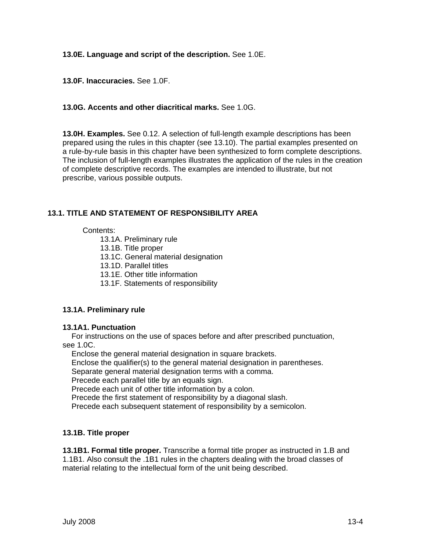# **13.0E. Language and script of the description.** See 1.0E.

**13.0F. Inaccuracies.** See 1.0F.

# **13.0G. Accents and other diacritical marks.** See 1.0G.

**13.0H. Examples.** See 0.12. A selection of full-length example descriptions has been prepared using the rules in this chapter (see 13.10). The partial examples presented on a rule-by-rule basis in this chapter have been synthesized to form complete descriptions. The inclusion of full-length examples illustrates the application of the rules in the creation of complete descriptive records. The examples are intended to illustrate, but not prescribe, various possible outputs.

# **13.1. TITLE AND STATEMENT OF RESPONSIBILITY AREA**

## Contents:

- 13.1A. Preliminary rule
- 13.1B. Title proper
- 13.1C. General material designation
- 13.1D. Parallel titles
- 13.1E. Other title information
- 13.1F. Statements of responsibility

# **13.1A. Preliminary rule**

#### **13.1A1. Punctuation**

For instructions on the use of spaces before and after prescribed punctuation, see 1.0C.

Enclose the general material designation in square brackets.

Enclose the qualifier(s) to the general material designation in parentheses.

Separate general material designation terms with a comma.

Precede each parallel title by an equals sign.

Precede each unit of other title information by a colon.

Precede the first statement of responsibility by a diagonal slash.

Precede each subsequent statement of responsibility by a semicolon.

# **13.1B. Title proper**

**13.1B1. Formal title proper.** Transcribe a formal title proper as instructed in 1.B and 1.1B1. Also consult the .1B1 rules in the chapters dealing with the broad classes of material relating to the intellectual form of the unit being described.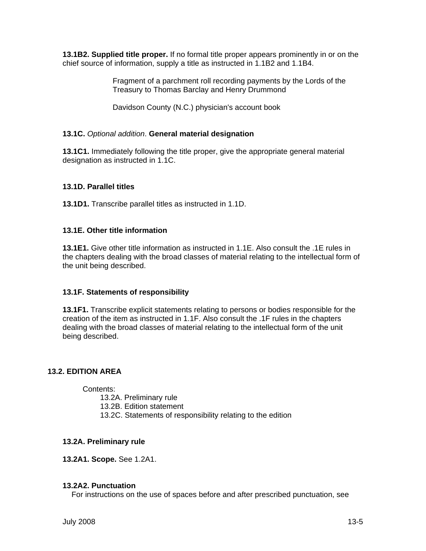**13.1B2. Supplied title proper.** If no formal title proper appears prominently in or on the chief source of information, supply a title as instructed in 1.1B2 and 1.1B4.

> Fragment of a parchment roll recording payments by the Lords of the Treasury to Thomas Barclay and Henry Drummond

Davidson County (N.C.) physician's account book

# **13.1C.** *Optional addition*. **General material designation**

**13.1C1.** Immediately following the title proper, give the appropriate general material designation as instructed in 1.1C.

## **13.1D. Parallel titles**

**13.1D1.** Transcribe parallel titles as instructed in 1.1D.

#### **13.1E. Other title information**

**13.1E1.** Give other title information as instructed in 1.1E. Also consult the .1E rules in the chapters dealing with the broad classes of material relating to the intellectual form of the unit being described.

# **13.1F. Statements of responsibility**

**13.1F1.** Transcribe explicit statements relating to persons or bodies responsible for the creation of the item as instructed in 1.1F. Also consult the .1F rules in the chapters dealing with the broad classes of material relating to the intellectual form of the unit being described.

#### **13.2. EDITION AREA**

Contents:

13.2A. Preliminary rule

13.2B. Edition statement

13.2C. Statements of responsibility relating to the edition

#### **13.2A. Preliminary rule**

**13.2A1. Scope.** See 1.2A1.

#### **13.2A2. Punctuation**

For instructions on the use of spaces before and after prescribed punctuation, see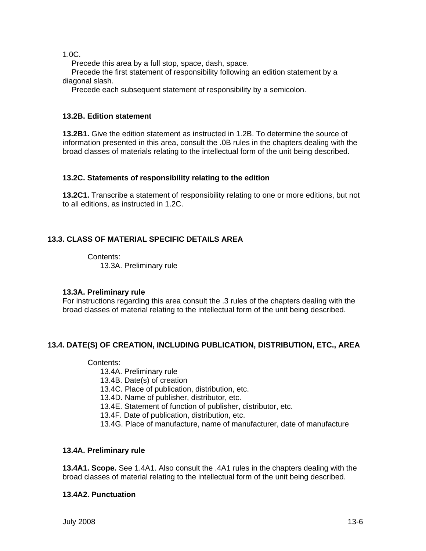1.0C.

Precede this area by a full stop, space, dash, space.

Precede the first statement of responsibility following an edition statement by a diagonal slash.

Precede each subsequent statement of responsibility by a semicolon.

# **13.2B. Edition statement**

**13.2B1.** Give the edition statement as instructed in 1.2B. To determine the source of information presented in this area, consult the .0B rules in the chapters dealing with the broad classes of materials relating to the intellectual form of the unit being described.

## **13.2C. Statements of responsibility relating to the edition**

**13.2C1.** Transcribe a statement of responsibility relating to one or more editions, but not to all editions, as instructed in 1.2C.

# **13.3. CLASS OF MATERIAL SPECIFIC DETAILS AREA**

Contents: 13.3A. Preliminary rule

# **13.3A. Preliminary rule**

For instructions regarding this area consult the .3 rules of the chapters dealing with the broad classes of material relating to the intellectual form of the unit being described.

# **13.4. DATE(S) OF CREATION, INCLUDING PUBLICATION, DISTRIBUTION, ETC., AREA**

#### Contents:

- 13.4A. Preliminary rule
- 13.4B. Date(s) of creation
- 13.4C. Place of publication, distribution, etc.
- 13.4D. Name of publisher, distributor, etc.
- 13.4E. Statement of function of publisher, distributor, etc.
- 13.4F. Date of publication, distribution, etc.
- 13.4G. Place of manufacture, name of manufacturer, date of manufacture

# **13.4A. Preliminary rule**

**13.4A1. Scope.** See 1.4A1. Also consult the .4A1 rules in the chapters dealing with the broad classes of material relating to the intellectual form of the unit being described.

# **13.4A2. Punctuation**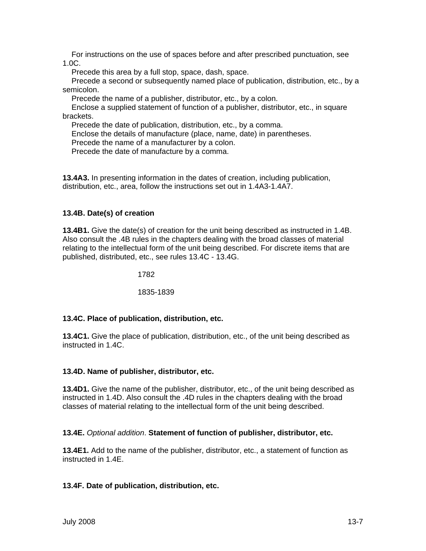For instructions on the use of spaces before and after prescribed punctuation, see 1.0C.

Precede this area by a full stop, space, dash, space.

Precede a second or subsequently named place of publication, distribution, etc., by a semicolon.

Precede the name of a publisher, distributor, etc., by a colon.

Enclose a supplied statement of function of a publisher, distributor, etc., in square brackets.

Precede the date of publication, distribution, etc., by a comma.

Enclose the details of manufacture (place, name, date) in parentheses.

Precede the name of a manufacturer by a colon.

Precede the date of manufacture by a comma.

**13.4A3.** In presenting information in the dates of creation, including publication, distribution, etc., area, follow the instructions set out in 1.4A3-1.4A7.

## **13.4B. Date(s) of creation**

**13.4B1.** Give the date(s) of creation for the unit being described as instructed in 1.4B. Also consult the .4B rules in the chapters dealing with the broad classes of material relating to the intellectual form of the unit being described. For discrete items that are published, distributed, etc., see rules 13.4C - 13.4G.

1782

1835-1839

#### **13.4C. Place of publication, distribution, etc.**

**13.4C1.** Give the place of publication, distribution, etc., of the unit being described as instructed in 1.4C.

#### **13.4D. Name of publisher, distributor, etc.**

**13.4D1.** Give the name of the publisher, distributor, etc., of the unit being described as instructed in 1.4D. Also consult the .4D rules in the chapters dealing with the broad classes of material relating to the intellectual form of the unit being described.

#### **13.4E.** *Optional addition*. **Statement of function of publisher, distributor, etc.**

**13.4E1.** Add to the name of the publisher, distributor, etc., a statement of function as instructed in 1.4E.

#### **13.4F. Date of publication, distribution, etc.**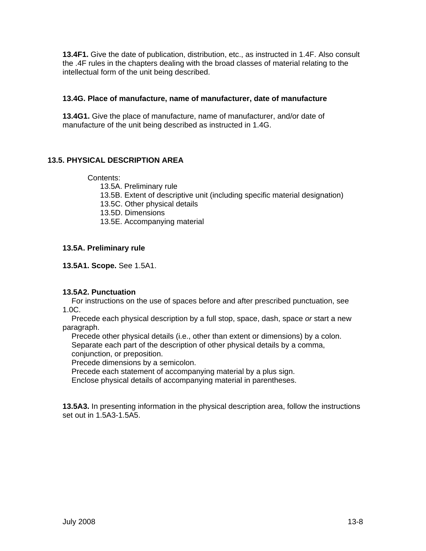**13.4F1.** Give the date of publication, distribution, etc., as instructed in 1.4F. Also consult the .4F rules in the chapters dealing with the broad classes of material relating to the intellectual form of the unit being described.

## **13.4G. Place of manufacture, name of manufacturer, date of manufacture**

**13.4G1.** Give the place of manufacture, name of manufacturer, and/or date of manufacture of the unit being described as instructed in 1.4G.

# **13.5. PHYSICAL DESCRIPTION AREA**

## Contents:

- 13.5A. Preliminary rule
- 13.5B. Extent of descriptive unit (including specific material designation)
- 13.5C. Other physical details
- 13.5D. Dimensions
- 13.5E. Accompanying material

## **13.5A. Preliminary rule**

**13.5A1. Scope.** See 1.5A1.

# **13.5A2. Punctuation**

For instructions on the use of spaces before and after prescribed punctuation, see 1.0C.

Precede each physical description by a full stop, space, dash, space *or* start a new paragraph.

Precede other physical details (i.e., other than extent or dimensions) by a colon. Separate each part of the description of other physical details by a comma,

conjunction, or preposition.

Precede dimensions by a semicolon.

Precede each statement of accompanying material by a plus sign.

Enclose physical details of accompanying material in parentheses.

**13.5A3.** In presenting information in the physical description area, follow the instructions set out in 1.5A3-1.5A5.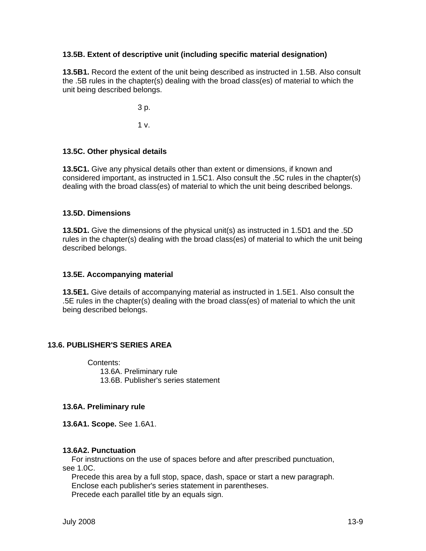# **13.5B. Extent of descriptive unit (including specific material designation)**

**13.5B1.** Record the extent of the unit being described as instructed in 1.5B. Also consult the .5B rules in the chapter(s) dealing with the broad class(es) of material to which the unit being described belongs.

3 p.

1 v.

# **13.5C. Other physical details**

**13.5C1.** Give any physical details other than extent or dimensions, if known and considered important, as instructed in 1.5C1. Also consult the .5C rules in the chapter(s) dealing with the broad class(es) of material to which the unit being described belongs.

# **13.5D. Dimensions**

**13.5D1.** Give the dimensions of the physical unit(s) as instructed in 1.5D1 and the .5D rules in the chapter(s) dealing with the broad class(es) of material to which the unit being described belongs.

## **13.5E. Accompanying material**

**13.5E1.** Give details of accompanying material as instructed in 1.5E1. Also consult the .5E rules in the chapter(s) dealing with the broad class(es) of material to which the unit being described belongs.

# **13.6. PUBLISHER'S SERIES AREA**

Contents: 13.6A. Preliminary rule 13.6B. Publisher's series statement

#### **13.6A. Preliminary rule**

**13.6A1. Scope.** See 1.6A1.

#### **13.6A2. Punctuation**

For instructions on the use of spaces before and after prescribed punctuation, see 1.0C.

Precede this area by a full stop, space, dash, space or start a new paragraph. Enclose each publisher's series statement in parentheses. Precede each parallel title by an equals sign.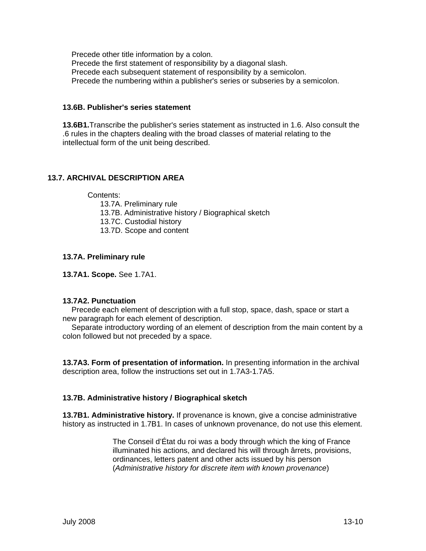Precede other title information by a colon. Precede the first statement of responsibility by a diagonal slash. Precede each subsequent statement of responsibility by a semicolon. Precede the numbering within a publisher's series or subseries by a semicolon.

# **13.6B. Publisher's series statement**

**13.6B1.**Transcribe the publisher's series statement as instructed in 1.6. Also consult the .6 rules in the chapters dealing with the broad classes of material relating to the intellectual form of the unit being described.

# **13.7. ARCHIVAL DESCRIPTION AREA**

Contents:

- 13.7A. Preliminary rule
- 13.7B. Administrative history / Biographical sketch
- 13.7C. Custodial history
- 13.7D. Scope and content

# **13.7A. Preliminary rule**

**13.7A1. Scope.** See 1.7A1.

#### **13.7A2. Punctuation**

Precede each element of description with a full stop, space, dash, space or start a new paragraph for each element of description.

Separate introductory wording of an element of description from the main content by a colon followed but not preceded by a space.

**13.7A3. Form of presentation of information.** In presenting information in the archival description area, follow the instructions set out in 1.7A3-1.7A5.

# **13.7B. Administrative history / Biographical sketch**

**13.7B1. Administrative history.** If provenance is known, give a concise administrative history as instructed in 1.7B1. In cases of unknown provenance, do not use this element.

> The Conseil d'État du roi was a body through which the king of France illuminated his actions, and declared his will through ârrets, provisions, ordinances, letters patent and other acts issued by his person (*Administrative history for discrete item with known provenance*)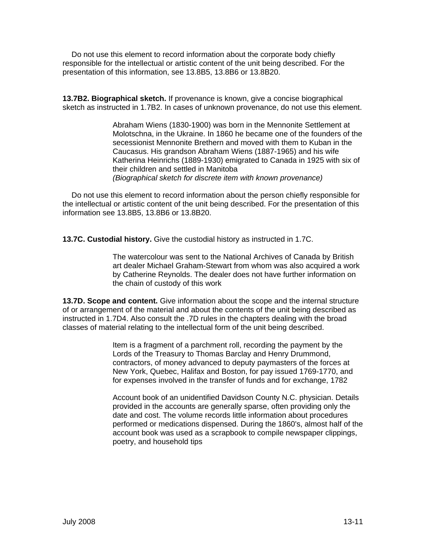Do not use this element to record information about the corporate body chiefly responsible for the intellectual or artistic content of the unit being described. For the presentation of this information, see 13.8B5, 13.8B6 or 13.8B20.

**13.7B2. Biographical sketch.** If provenance is known, give a concise biographical sketch as instructed in 1.7B2. In cases of unknown provenance, do not use this element.

> Abraham Wiens (1830-1900) was born in the Mennonite Settlement at Molotschna, in the Ukraine. In 1860 he became one of the founders of the secessionist Mennonite Brethern and moved with them to Kuban in the Caucasus. His grandson Abraham Wiens (1887-1965) and his wife Katherina Heinrichs (1889-1930) emigrated to Canada in 1925 with six of their children and settled in Manitoba *(Biographical sketch for discrete item with known provenance)*

Do not use this element to record information about the person chiefly responsible for the intellectual or artistic content of the unit being described. For the presentation of this information see 13.8B5, 13.8B6 or 13.8B20.

**13.7C. Custodial history.** Give the custodial history as instructed in 1.7C.

The watercolour was sent to the National Archives of Canada by British art dealer Michael Graham-Stewart from whom was also acquired a work by Catherine Reynolds. The dealer does not have further information on the chain of custody of this work

**13.7D. Scope and content.** Give information about the scope and the internal structure of or arrangement of the material and about the contents of the unit being described as instructed in 1.7D4. Also consult the .7D rules in the chapters dealing with the broad classes of material relating to the intellectual form of the unit being described.

> Item is a fragment of a parchment roll, recording the payment by the Lords of the Treasury to Thomas Barclay and Henry Drummond, contractors, of money advanced to deputy paymasters of the forces at New York, Quebec, Halifax and Boston, for pay issued 1769-1770, and for expenses involved in the transfer of funds and for exchange, 1782

Account book of an unidentified Davidson County N.C. physician. Details provided in the accounts are generally sparse, often providing only the date and cost. The volume records little information about procedures performed or medications dispensed. During the 1860's, almost half of the account book was used as a scrapbook to compile newspaper clippings, poetry, and household tips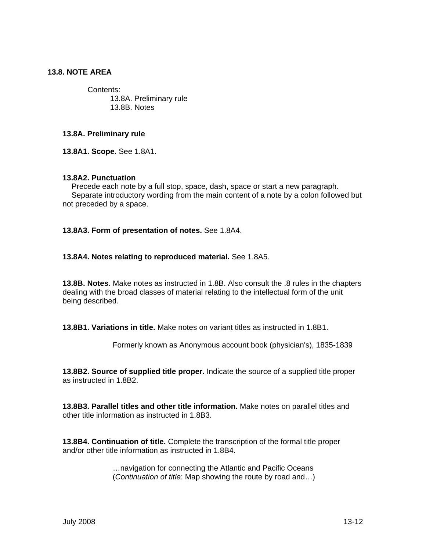# **13.8. NOTE AREA**

Contents: 13.8A. Preliminary rule 13.8B. Notes

#### **13.8A. Preliminary rule**

**13.8A1. Scope.** See 1.8A1.

#### **13.8A2. Punctuation**

Precede each note by a full stop, space, dash, space or start a new paragraph. Separate introductory wording from the main content of a note by a colon followed but not preceded by a space.

#### **13.8A3. Form of presentation of notes.** See 1.8A4.

#### **13.8A4. Notes relating to reproduced material.** See 1.8A5.

**13.8B. Notes**. Make notes as instructed in 1.8B. Also consult the .8 rules in the chapters dealing with the broad classes of material relating to the intellectual form of the unit being described.

**13.8B1. Variations in title.** Make notes on variant titles as instructed in 1.8B1.

Formerly known as Anonymous account book (physician's), 1835-1839

**13.8B2. Source of supplied title proper.** Indicate the source of a supplied title proper as instructed in 1.8B2.

**13.8B3. Parallel titles and other title information.** Make notes on parallel titles and other title information as instructed in 1.8B3.

**13.8B4. Continuation of title.** Complete the transcription of the formal title proper and/or other title information as instructed in 1.8B4.

> …navigation for connecting the Atlantic and Pacific Oceans (*Continuation of title*: Map showing the route by road and…)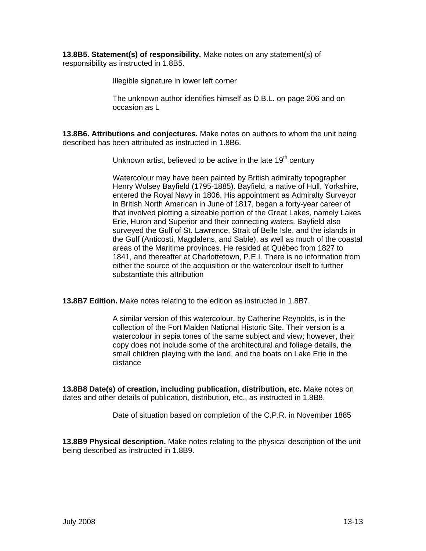**13.8B5. Statement(s) of responsibility.** Make notes on any statement(s) of responsibility as instructed in 1.8B5.

Illegible signature in lower left corner

The unknown author identifies himself as D.B.L. on page 206 and on occasion as L

**13.8B6. Attributions and conjectures.** Make notes on authors to whom the unit being described has been attributed as instructed in 1.8B6.

Unknown artist, believed to be active in the late 19<sup>th</sup> century

Watercolour may have been painted by British admiralty topographer Henry Wolsey Bayfield (1795-1885). Bayfield, a native of Hull, Yorkshire, entered the Royal Navy in 1806. His appointment as Admiralty Surveyor in British North American in June of 1817, began a forty-year career of that involved plotting a sizeable portion of the Great Lakes, namely Lakes Erie, Huron and Superior and their connecting waters. Bayfield also surveyed the Gulf of St. Lawrence, Strait of Belle Isle, and the islands in the Gulf (Anticosti, Magdalens, and Sable), as well as much of the coastal areas of the Maritime provinces. He resided at Québec from 1827 to 1841, and thereafter at Charlottetown, P.E.I. There is no information from either the source of the acquisition or the watercolour itself to further substantiate this attribution

**13.8B7 Edition.** Make notes relating to the edition as instructed in 1.8B7.

A similar version of this watercolour, by Catherine Reynolds, is in the collection of the Fort Malden National Historic Site. Their version is a watercolour in sepia tones of the same subject and view; however, their copy does not include some of the architectural and foliage details, the small children playing with the land, and the boats on Lake Erie in the distance

**13.8B8 Date(s) of creation, including publication, distribution, etc.** Make notes on dates and other details of publication, distribution, etc., as instructed in 1.8B8.

Date of situation based on completion of the C.P.R. in November 1885

**13.8B9 Physical description.** Make notes relating to the physical description of the unit being described as instructed in 1.8B9.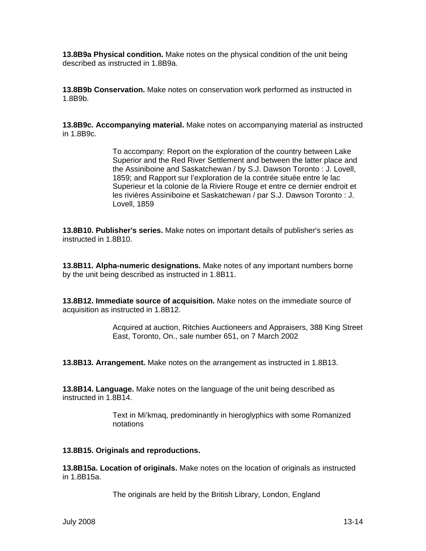**13.8B9a Physical condition.** Make notes on the physical condition of the unit being described as instructed in 1.8B9a.

**13.8B9b Conservation.** Make notes on conservation work performed as instructed in 1.8B9b.

**13.8B9c. Accompanying material.** Make notes on accompanying material as instructed in 1.8B9c.

> To accompany: Report on the exploration of the country between Lake Superior and the Red River Settlement and between the latter place and the Assiniboine and Saskatchewan / by S.J. Dawson Toronto : J. Lovell, 1859; and Rapport sur l'exploration de la contrée située entre le lac Superieur et la colonie de la Riviere Rouge et entre ce dernier endroit et les rivières Assiniboine et Saskatchewan / par S.J. Dawson Toronto : J. Lovell, 1859

**13.8B10. Publisher's series.** Make notes on important details of publisher's series as instructed in 1.8B10.

**13.8B11. Alpha-numeric designations.** Make notes of any important numbers borne by the unit being described as instructed in 1.8B11.

**13.8B12. Immediate source of acquisition.** Make notes on the immediate source of acquisition as instructed in 1.8B12.

> Acquired at auction, Ritchies Auctioneers and Appraisers, 388 King Street East, Toronto, On., sale number 651, on 7 March 2002

**13.8B13. Arrangement.** Make notes on the arrangement as instructed in 1.8B13.

**13.8B14. Language.** Make notes on the language of the unit being described as instructed in 1.8B14.

> Text in Mi'kmaq, predominantly in hieroglyphics with some Romanized notations

#### **13.8B15. Originals and reproductions.**

**13.8B15a. Location of originals.** Make notes on the location of originals as instructed in 1.8B15a.

The originals are held by the British Library, London, England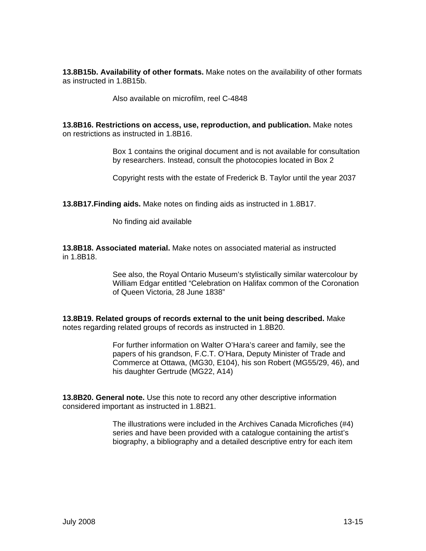**13.8B15b. Availability of other formats.** Make notes on the availability of other formats as instructed in 1.8B15b.

Also available on microfilm, reel C-4848

**13.8B16. Restrictions on access, use, reproduction, and publication.** Make notes on restrictions as instructed in 1.8B16.

> Box 1 contains the original document and is not available for consultation by researchers. Instead, consult the photocopies located in Box 2

Copyright rests with the estate of Frederick B. Taylor until the year 2037

**13.8B17.Finding aids.** Make notes on finding aids as instructed in 1.8B17.

No finding aid available

**13.8B18. Associated material.** Make notes on associated material as instructed in 1.8B18.

> See also, the Royal Ontario Museum's stylistically similar watercolour by William Edgar entitled "Celebration on Halifax common of the Coronation of Queen Victoria, 28 June 1838"

**13.8B19. Related groups of records external to the unit being described.** Make notes regarding related groups of records as instructed in 1.8B20.

> For further information on Walter O'Hara's career and family, see the papers of his grandson, F.C.T. O'Hara, Deputy Minister of Trade and Commerce at Ottawa, (MG30, E104), his son Robert (MG55/29, 46), and his daughter Gertrude (MG22, A14)

**13.8B20. General note.** Use this note to record any other descriptive information considered important as instructed in 1.8B21.

> The illustrations were included in the Archives Canada Microfiches (#4) series and have been provided with a catalogue containing the artist's biography, a bibliography and a detailed descriptive entry for each item